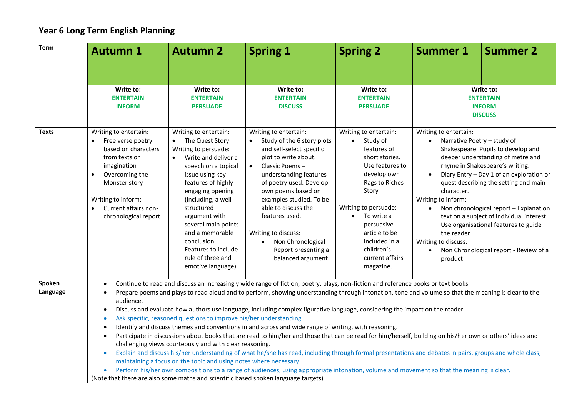## **Year 6 Long Term English Planning**

| <b>Autumn 1</b>                                                                                                                                                                                                                                                                                                                                                                                                                                                                                                                                                                                                                                                                                                                                                                                                                                                                                                                                                                                                                                                                                                                                                                                                                                                                                                        | <b>Autumn 2</b>                                                                                                                                                                                                                                                                                                                                                                       | <b>Spring 1</b>                                                                                                                                                                                                                                                                                                                                                                | <b>Spring 2</b>                                                                                                                                                                                                                                                                  | <b>Summer 1</b>                                                                                                                                                                                                                                                                                                                                                                                                                                                                                                      | <b>Summer 2</b> |
|------------------------------------------------------------------------------------------------------------------------------------------------------------------------------------------------------------------------------------------------------------------------------------------------------------------------------------------------------------------------------------------------------------------------------------------------------------------------------------------------------------------------------------------------------------------------------------------------------------------------------------------------------------------------------------------------------------------------------------------------------------------------------------------------------------------------------------------------------------------------------------------------------------------------------------------------------------------------------------------------------------------------------------------------------------------------------------------------------------------------------------------------------------------------------------------------------------------------------------------------------------------------------------------------------------------------|---------------------------------------------------------------------------------------------------------------------------------------------------------------------------------------------------------------------------------------------------------------------------------------------------------------------------------------------------------------------------------------|--------------------------------------------------------------------------------------------------------------------------------------------------------------------------------------------------------------------------------------------------------------------------------------------------------------------------------------------------------------------------------|----------------------------------------------------------------------------------------------------------------------------------------------------------------------------------------------------------------------------------------------------------------------------------|----------------------------------------------------------------------------------------------------------------------------------------------------------------------------------------------------------------------------------------------------------------------------------------------------------------------------------------------------------------------------------------------------------------------------------------------------------------------------------------------------------------------|-----------------|
|                                                                                                                                                                                                                                                                                                                                                                                                                                                                                                                                                                                                                                                                                                                                                                                                                                                                                                                                                                                                                                                                                                                                                                                                                                                                                                                        |                                                                                                                                                                                                                                                                                                                                                                                       |                                                                                                                                                                                                                                                                                                                                                                                |                                                                                                                                                                                                                                                                                  |                                                                                                                                                                                                                                                                                                                                                                                                                                                                                                                      |                 |
| Write to:<br><b>ENTERTAIN</b><br><b>INFORM</b>                                                                                                                                                                                                                                                                                                                                                                                                                                                                                                                                                                                                                                                                                                                                                                                                                                                                                                                                                                                                                                                                                                                                                                                                                                                                         | Write to:<br><b>ENTERTAIN</b><br><b>PERSUADE</b>                                                                                                                                                                                                                                                                                                                                      | Write to:<br><b>ENTERTAIN</b><br><b>DISCUSS</b>                                                                                                                                                                                                                                                                                                                                | Write to:<br><b>ENTERTAIN</b><br><b>PERSUADE</b>                                                                                                                                                                                                                                 | Write to:<br><b>ENTERTAIN</b><br><b>INFORM</b><br><b>DISCUSS</b>                                                                                                                                                                                                                                                                                                                                                                                                                                                     |                 |
| Writing to entertain:<br>Free verse poetry<br>based on characters<br>from texts or<br>imagination<br>Overcoming the<br>$\bullet$<br>Monster story<br>Writing to inform:<br>Current affairs non-<br>$\bullet$<br>chronological report                                                                                                                                                                                                                                                                                                                                                                                                                                                                                                                                                                                                                                                                                                                                                                                                                                                                                                                                                                                                                                                                                   | Writing to entertain:<br>The Quest Story<br>$\bullet$<br>Writing to persuade:<br>Write and deliver a<br>$\bullet$<br>speech on a topical<br>issue using key<br>features of highly<br>engaging opening<br>(including, a well-<br>structured<br>argument with<br>several main points<br>and a memorable<br>conclusion.<br>Features to include<br>rule of three and<br>emotive language) | Writing to entertain:<br>Study of the 6 story plots<br>and self-select specific<br>plot to write about.<br>Classic Poems-<br>$\bullet$<br>understanding features<br>of poetry used. Develop<br>own poems based on<br>examples studied. To be<br>able to discuss the<br>features used.<br>Writing to discuss:<br>Non Chronological<br>Report presenting a<br>balanced argument. | Writing to entertain:<br>Study of<br>$\bullet$<br>features of<br>short stories.<br>Use features to<br>develop own<br>Rags to Riches<br>Story<br>Writing to persuade:<br>To write a<br>persuasive<br>article to be<br>included in a<br>children's<br>current affairs<br>magazine. | Writing to entertain:<br>Narrative Poetry - study of<br>Shakespeare. Pupils to develop and<br>deeper understanding of metre and<br>rhyme in Shakespeare's writing.<br>Diary Entry - Day 1 of an exploration or<br>quest describing the setting and main<br>character.<br>Writing to inform:<br>Non chronological report - Explanation<br>text on a subject of individual interest.<br>Use organisational features to guide<br>the reader<br>Writing to discuss:<br>Non Chronological report - Review of a<br>product |                 |
| Continue to read and discuss an increasingly wide range of fiction, poetry, plays, non-fiction and reference books or text books.<br>$\bullet$<br>Prepare poems and plays to read aloud and to perform, showing understanding through intonation, tone and volume so that the meaning is clear to the<br>$\bullet$<br>audience.<br>Discuss and evaluate how authors use language, including complex figurative language, considering the impact on the reader.<br>$\bullet$<br>Ask specific, reasoned questions to improve his/her understanding.<br>۰<br>Identify and discuss themes and conventions in and across and wide range of writing, with reasoning.<br>$\bullet$<br>Participate in discussions about books that are read to him/her and those that can be read for him/herself, building on his/her own or others' ideas and<br>$\bullet$<br>challenging views courteously and with clear reasoning.<br>Explain and discuss his/her understanding of what he/she has read, including through formal presentations and debates in pairs, groups and whole class,<br>$\bullet$<br>maintaining a focus on the topic and using notes where necessary.<br>Perform his/her own compositions to a range of audiences, using appropriate intonation, volume and movement so that the meaning is clear.<br>$\bullet$ |                                                                                                                                                                                                                                                                                                                                                                                       |                                                                                                                                                                                                                                                                                                                                                                                |                                                                                                                                                                                                                                                                                  |                                                                                                                                                                                                                                                                                                                                                                                                                                                                                                                      |                 |
|                                                                                                                                                                                                                                                                                                                                                                                                                                                                                                                                                                                                                                                                                                                                                                                                                                                                                                                                                                                                                                                                                                                                                                                                                                                                                                                        |                                                                                                                                                                                                                                                                                                                                                                                       |                                                                                                                                                                                                                                                                                                                                                                                | (Note that there are also some maths and scientific based spoken language targets).                                                                                                                                                                                              |                                                                                                                                                                                                                                                                                                                                                                                                                                                                                                                      |                 |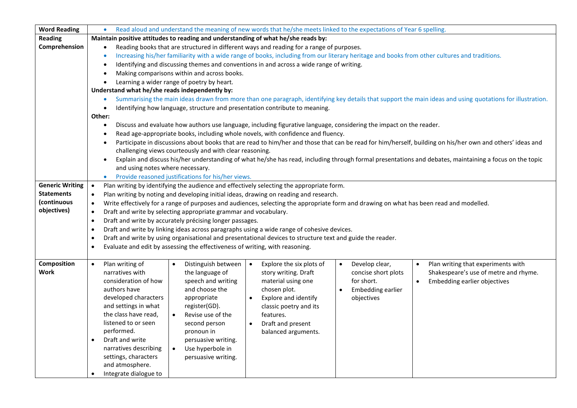| <b>Word Reading</b>    | Read aloud and understand the meaning of new words that he/she meets linked to the expectations of Year 6 spelling.                                                            |  |  |  |  |  |
|------------------------|--------------------------------------------------------------------------------------------------------------------------------------------------------------------------------|--|--|--|--|--|
| <b>Reading</b>         | Maintain positive attitudes to reading and understanding of what he/she reads by:                                                                                              |  |  |  |  |  |
| Comprehension          | Reading books that are structured in different ways and reading for a range of purposes.<br>$\bullet$                                                                          |  |  |  |  |  |
|                        | Increasing his/her familiarity with a wide range of books, including from our literary heritage and books from other cultures and traditions.<br>$\bullet$                     |  |  |  |  |  |
|                        | Identifying and discussing themes and conventions in and across a wide range of writing.                                                                                       |  |  |  |  |  |
|                        | Making comparisons within and across books.                                                                                                                                    |  |  |  |  |  |
|                        | Learning a wider range of poetry by heart.                                                                                                                                     |  |  |  |  |  |
|                        | Understand what he/she reads independently by:                                                                                                                                 |  |  |  |  |  |
|                        | Summarising the main ideas drawn from more than one paragraph, identifying key details that support the main ideas and using quotations for illustration.<br>$\bullet$         |  |  |  |  |  |
|                        | Identifying how language, structure and presentation contribute to meaning.<br>$\bullet$                                                                                       |  |  |  |  |  |
|                        | Other:                                                                                                                                                                         |  |  |  |  |  |
|                        | Discuss and evaluate how authors use language, including figurative language, considering the impact on the reader.<br>$\bullet$                                               |  |  |  |  |  |
|                        | Read age-appropriate books, including whole novels, with confidence and fluency.                                                                                               |  |  |  |  |  |
|                        | Participate in discussions about books that are read to him/her and those that can be read for him/herself, building on his/her own and others' ideas and                      |  |  |  |  |  |
|                        | challenging views courteously and with clear reasoning.                                                                                                                        |  |  |  |  |  |
|                        | Explain and discuss his/her understanding of what he/she has read, including through formal presentations and debates, maintaining a focus on the topic                        |  |  |  |  |  |
|                        | and using notes where necessary.                                                                                                                                               |  |  |  |  |  |
|                        | Provide reasoned justifications for his/her views.                                                                                                                             |  |  |  |  |  |
| <b>Generic Writing</b> | Plan writing by identifying the audience and effectively selecting the appropriate form.<br>$\bullet$                                                                          |  |  |  |  |  |
| <b>Statements</b>      | Plan writing by noting and developing initial ideas, drawing on reading and research.<br>$\bullet$                                                                             |  |  |  |  |  |
| (continuous            | Write effectively for a range of purposes and audiences, selecting the appropriate form and drawing on what has been read and modelled.<br>$\bullet$                           |  |  |  |  |  |
| objectives)            | Draft and write by selecting appropriate grammar and vocabulary.<br>$\bullet$                                                                                                  |  |  |  |  |  |
|                        | Draft and write by accurately précising longer passages.<br>$\bullet$                                                                                                          |  |  |  |  |  |
|                        | Draft and write by linking ideas across paragraphs using a wide range of cohesive devices.<br>$\bullet$                                                                        |  |  |  |  |  |
|                        | Draft and write by using organisational and presentational devices to structure text and guide the reader.<br>$\bullet$                                                        |  |  |  |  |  |
|                        | Evaluate and edit by assessing the effectiveness of writing, with reasoning.<br>$\bullet$                                                                                      |  |  |  |  |  |
|                        |                                                                                                                                                                                |  |  |  |  |  |
| <b>Composition</b>     | Plan writing of<br>Distinguish between<br>Develop clear,<br>Plan writing that experiments with<br>Explore the six plots of<br>$\bullet$<br>$\bullet$<br>$\bullet$<br>$\bullet$ |  |  |  |  |  |
| Work                   | narratives with<br>the language of<br>story writing. Draft<br>concise short plots<br>Shakespeare's use of metre and rhyme.                                                     |  |  |  |  |  |
|                        | consideration of how<br>speech and writing<br>material using one<br>for short.<br><b>Embedding earlier objectives</b>                                                          |  |  |  |  |  |
|                        | and choose the<br>authors have<br>chosen plot.<br>Embedding earlier                                                                                                            |  |  |  |  |  |
|                        | developed characters<br>appropriate<br>Explore and identify<br>objectives                                                                                                      |  |  |  |  |  |
|                        | and settings in what<br>register(GD).<br>classic poetry and its                                                                                                                |  |  |  |  |  |
|                        | the class have read,<br>Revise use of the<br>features.<br>$\bullet$                                                                                                            |  |  |  |  |  |
|                        | listened to or seen<br>second person<br>Draft and present<br>$\bullet$                                                                                                         |  |  |  |  |  |
|                        | performed.<br>pronoun in<br>balanced arguments.                                                                                                                                |  |  |  |  |  |
|                        | Draft and write<br>persuasive writing.<br>$\bullet$                                                                                                                            |  |  |  |  |  |
|                        | narratives describing<br>Use hyperbole in<br>$\bullet$                                                                                                                         |  |  |  |  |  |
|                        | settings, characters<br>persuasive writing.                                                                                                                                    |  |  |  |  |  |
|                        | and atmosphere.                                                                                                                                                                |  |  |  |  |  |
|                        | Integrate dialogue to<br>$\bullet$                                                                                                                                             |  |  |  |  |  |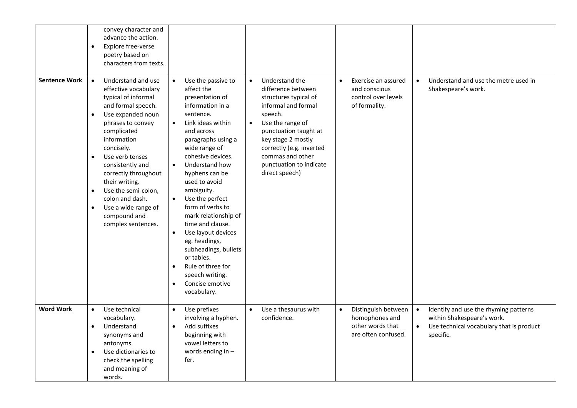|                      | convey character and<br>advance the action.<br>Explore free-verse<br>$\bullet$<br>poetry based on<br>characters from texts.                                                                                                                                                                                                                                                                                                            |                                                                                                                                                                                                                                                                                                                                                                                                                                                                                                                                                                                |                                                                                                                                                                                                                                                                                           |                                                                                               |                                                                                                                                                        |
|----------------------|----------------------------------------------------------------------------------------------------------------------------------------------------------------------------------------------------------------------------------------------------------------------------------------------------------------------------------------------------------------------------------------------------------------------------------------|--------------------------------------------------------------------------------------------------------------------------------------------------------------------------------------------------------------------------------------------------------------------------------------------------------------------------------------------------------------------------------------------------------------------------------------------------------------------------------------------------------------------------------------------------------------------------------|-------------------------------------------------------------------------------------------------------------------------------------------------------------------------------------------------------------------------------------------------------------------------------------------|-----------------------------------------------------------------------------------------------|--------------------------------------------------------------------------------------------------------------------------------------------------------|
| <b>Sentence Work</b> | Understand and use<br>$\bullet$<br>effective vocabulary<br>typical of informal<br>and formal speech.<br>Use expanded noun<br>$\bullet$<br>phrases to convey<br>complicated<br>information<br>concisely.<br>Use verb tenses<br>$\bullet$<br>consistently and<br>correctly throughout<br>their writing.<br>Use the semi-colon,<br>$\bullet$<br>colon and dash.<br>Use a wide range of<br>$\bullet$<br>compound and<br>complex sentences. | Use the passive to<br>$\bullet$<br>affect the<br>presentation of<br>information in a<br>sentence.<br>Link ideas within<br>$\bullet$<br>and across<br>paragraphs using a<br>wide range of<br>cohesive devices.<br>Understand how<br>$\bullet$<br>hyphens can be<br>used to avoid<br>ambiguity.<br>Use the perfect<br>$\bullet$<br>form of verbs to<br>mark relationship of<br>time and clause.<br>Use layout devices<br>$\bullet$<br>eg. headings,<br>subheadings, bullets<br>or tables.<br>Rule of three for<br>speech writing.<br>Concise emotive<br>$\bullet$<br>vocabulary. | Understand the<br>$\bullet$<br>difference between<br>structures typical of<br>informal and formal<br>speech.<br>Use the range of<br>$\bullet$<br>punctuation taught at<br>key stage 2 mostly<br>correctly (e.g. inverted<br>commas and other<br>punctuation to indicate<br>direct speech) | Exercise an assured<br>and conscious<br>control over levels<br>of formality.                  | Understand and use the metre used in<br>$\bullet$<br>Shakespeare's work.                                                                               |
| <b>Word Work</b>     | Use technical<br>$\bullet$<br>vocabulary.<br>Understand<br>$\bullet$<br>synonyms and<br>antonyms.<br>Use dictionaries to<br>$\bullet$<br>check the spelling<br>and meaning of<br>words.                                                                                                                                                                                                                                                | Use prefixes<br>$\bullet$<br>involving a hyphen.<br>Add suffixes<br>$\bullet$<br>beginning with<br>vowel letters to<br>words ending in -<br>fer.                                                                                                                                                                                                                                                                                                                                                                                                                               | Use a thesaurus with<br>$\bullet$<br>confidence.                                                                                                                                                                                                                                          | Distinguish between<br>$\bullet$<br>homophones and<br>other words that<br>are often confused. | Identify and use the rhyming patterns<br>$\bullet$<br>within Shakespeare's work.<br>Use technical vocabulary that is product<br>$\bullet$<br>specific. |